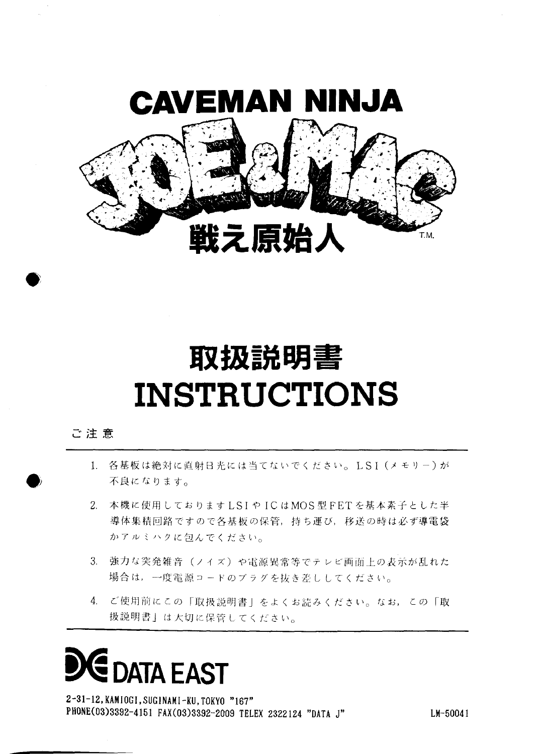

### 取扱説明書 **INSTRUCTIONS**

#### ご注意

- 1. 各基板は絶対に直射日光には当てないでください。LSI (メモリー)が 不良になります。
- 2. 本機に使用しておりますLSIやICはMOS型FETを基本素子とした半 導体集積回路ですので各基板の保管、持ち運び、移送の時は必ず導電袋 かアルミハクに包んでください。
- 3. 強力な突発雑音(ノイズ)や電源異常等でテレビ画面上の表示が乱れた 場合は、一度電源コードのプラグを抜き差ししてください。
- 4. ご使用前にこの「取扱説明書」をよくお読みください。なお、この「取 扱説明書」は大切に保管してください。

# **DATA EAST**

2-31-12, KAMIOGI, SUGINAMI-KU, TOKYO "167" PHONE(03)3392-4151 FAX(03)3392-2009 TELEX 2322124 "DATA J"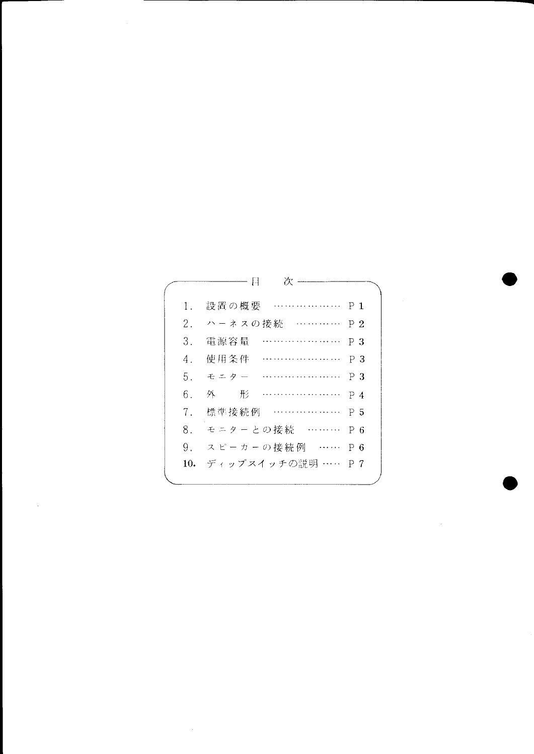|         | 次<br>H            |                |
|---------|-------------------|----------------|
| 1.      | P 1<br>設置の概要      |                |
| 2.      | ハーネスの接続 …………      | P <sub>2</sub> |
| 3.      | 電源容量              | PЗ             |
| $4_{-}$ | 使用条件              | PЗ             |
| 5.      | モニター              | PЗ             |
| 6.      | 外<br>形            | $P_4$          |
| $7_{-}$ | .<br>標準接続例        | P 5            |
| 8.      | モニターとの接続 ……… P6   |                |
| 9.      | スピーカーの接続例 …… P6   |                |
| 10.     | ディップスイッチの説明 …… P7 |                |
|         |                   |                |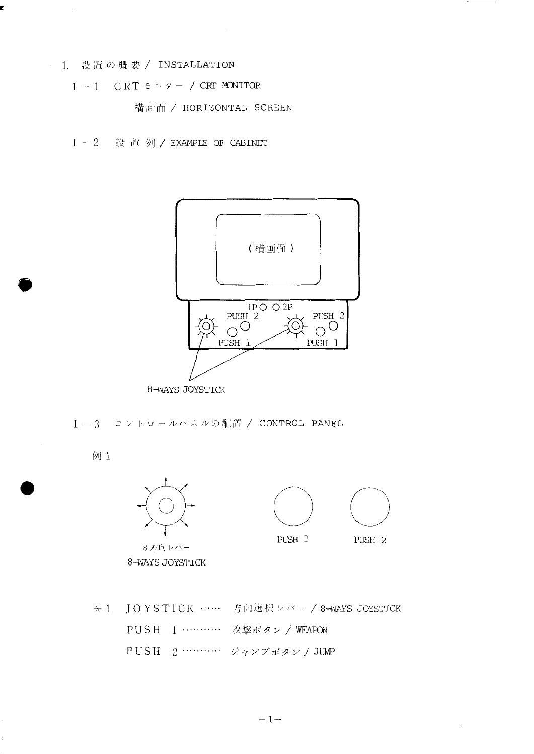- 1 設置の概要 / INSTALLATION
	- $1 1$  CRT  $\epsilon = \gamma 7$  CRT MONITOR

横画面 / HORIZONTAL SCREEN

1-2 設置例/EXAMPLE OF CABINET



1-3 コントロールバネルの配置 / CONTROL PANEL

例 1



8方向レバー 8-WAYS JOYSTICK



★ 1 JOYSTICK …… 方向選択レバー / 8-WAYS JOYSTICK PUSH 1 ………… 攻撃ボタン / WEAPON PUSH 2 ………… ジャンプボタン / JUMP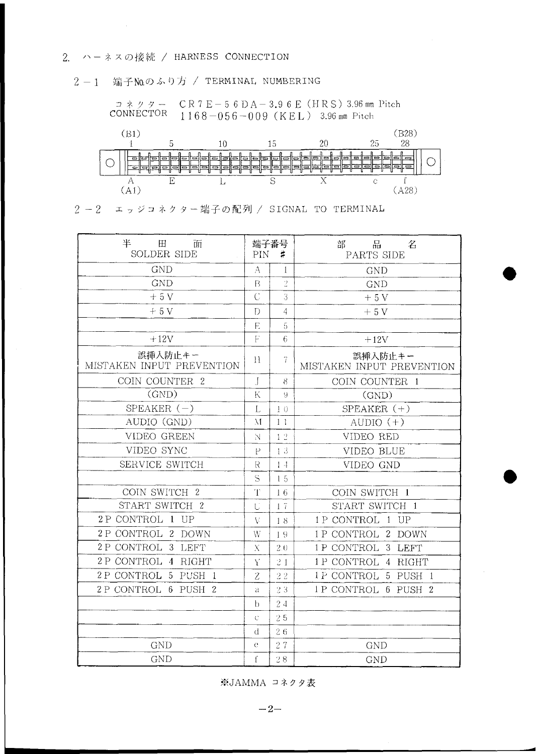#### 2. ハーネスの接続 / HARNESS CONNECTION

#### 2-1 端子No.のふり方 / TERMINAL NUMBERING





2-2 エッジコネクター端子の配列 / SIGNAL TO TERMINAL

| 丰<br>$\boxplus$<br>面<br>SOLDER SIDE  | PIN                         | 端子番号<br>$\sharp$ | 品<br>部<br>名<br>PARTS SIDE            |
|--------------------------------------|-----------------------------|------------------|--------------------------------------|
| <b>GND</b>                           | А                           | 1                | <b>GND</b>                           |
| <b>GND</b>                           | $\mathbf{B}$                | $\overline{2}$   | <b>GND</b>                           |
| $+5V$                                |                             | 3                | $+5V$                                |
| $+5V$                                | $\mathbf{D}$                | $\overline{4}$   | $+5V$                                |
|                                      | E                           | 5                |                                      |
| $+12V$                               | $\mathbf{F}$                | 6                | $+12V$                               |
| 誤挿入防止キー<br>MISTAKEN INPUT PREVENTION | $\mathcal{H}$               | 7                | 誤挿入防止キー<br>MISTAKEN INPUT PREVENTION |
| COIN COUNTER 2                       | $\int$                      | 8                | COIN COUNTER 1                       |
| (GND)                                | K                           | 9                | (GND)                                |
| SPEAKER $(-)$                        | L                           | 10               | SPEAKER $(+)$                        |
| AUDIO (GND)                          | $\mathcal{M}_{\mathcal{A}}$ | 1 <sub>1</sub>   | AUDIO $(+)$                          |
| VIDEO GREEN                          | N.                          | 12               | VIDEO RED                            |
| VIDEO SYNC                           | $\mathsf P$                 | 13               | VIDEO BLUE                           |
| SERVICE SWITCH                       | R                           | $1\,4$           | VIDEO GND                            |
|                                      | S                           | 15               |                                      |
| COIN SWITCH 2                        | $\mathbf{T}$                | 16               | COIN SWITCH 1                        |
| START SWITCH 2                       | Ú                           | $1\,7$           | START SWITCH 1                       |
| 2P CONTROL 1 UP                      | V                           | 18               | 1P CONTROL 1 UP                      |
| 2 P CONTROL 2 DOWN                   | W                           | 19               | 1 P CONTROL 2 DOWN                   |
| 2 P CONTROL 3 LEFT                   | X                           | 2.0              | 1P CONTROL 3 LEFT                    |
| 2 P CONTROL 4 RIGHT                  | Ý                           | 21               | 1P CONTROL 4 RIGHT                   |
| 2P CONTROL 5 PUSH 1                  | Z                           | 22               | 1 P CONTROL 5 PUSH 1                 |
| 2 P CONTROL 6 PUSH 2                 | a                           | $2\,\,3$         | 1P CONTROL 6 PUSH 2                  |
|                                      | h.                          | 24               |                                      |
|                                      | Ċ                           | 25               |                                      |
|                                      | đ                           | 26               |                                      |
| <b>GND</b>                           | $\mathbf{e}$                | 27               | <b>GND</b>                           |
| <b>GND</b>                           |                             | $2\;8$           | <b>GND</b>                           |

※JAMMA コネクタ表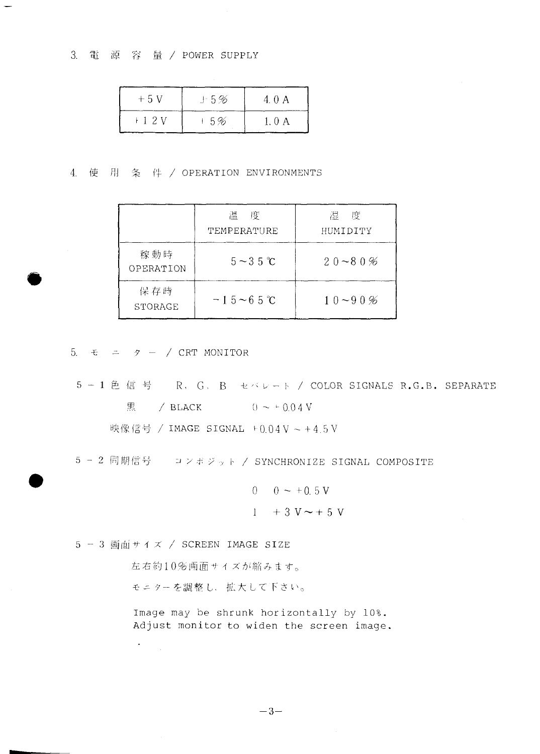3. 電源 容量 / POWER SUPPLY

 $\rightarrow$ 

| $+5V$  | $\pm$ 5% | 4.0 A  |
|--------|----------|--------|
| $+12V$ | 15%      | 1. O A |

4. 使 用 条 件 / OPERATION ENVIRONMENTS

|                  | 度<br>温<br>TEMPERATURE | 度<br>湿。<br>HUMIDITY |
|------------------|-----------------------|---------------------|
| 稼動時<br>OPERATION | $5 \sim 3.5$ °C       | $20 - 80%$          |
| 保存時<br>STORAGE   | $-15 - 65$ °C         | $10 - 90%$          |

5.  $\epsilon$  =  $\gamma$  - / CRT MONITOR

5-1色信号 R, G, B セバレート / COLOR SIGNALS R.G.B. SEPARATE 黒 / BLACK  $() \sim \pm 0.04$  V

映像信号 / IMAGE SIGNAL +0.04V ~ +4.5V

5 - 2 同期信号 コンポジット / SYNCHRONIZE SIGNAL COMPOSITE

$$
0 \t 0 \sim +0.5 \text{ V}
$$
  
1 + 3 \text{ V} \sim + 5 \text{ V}

5 - 3 画面サイズ / SCREEN IMAGE SIZE

 $\bullet$  .

左右約10%画面サイズが縮みます。

モニターを調整し、拡大して下さい。

Image may be shrunk horizontally by 10%. Adjust monitor to widen the screen image.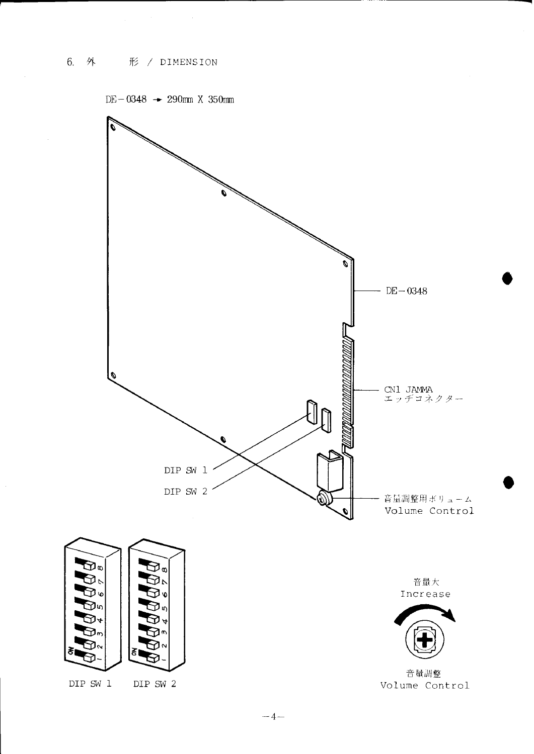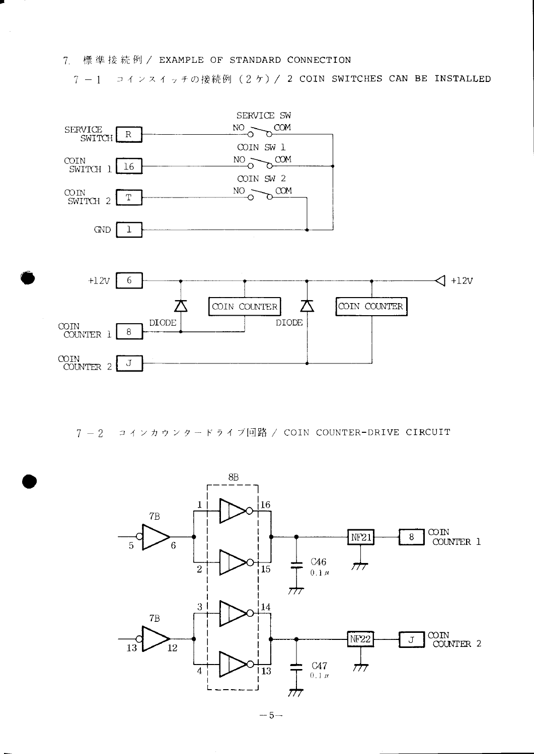7. 標準接続例 / EXAMPLE OF STANDARD CONNECTION

7-1 コインスイッチの接続例 (2ケ) / 2 COIN SWITCHES CAN BE INSTALLED



7-2 コインカウンタードライブ回路 / COIN COUNTER-DRIVE CIRCUIT



 $-5-$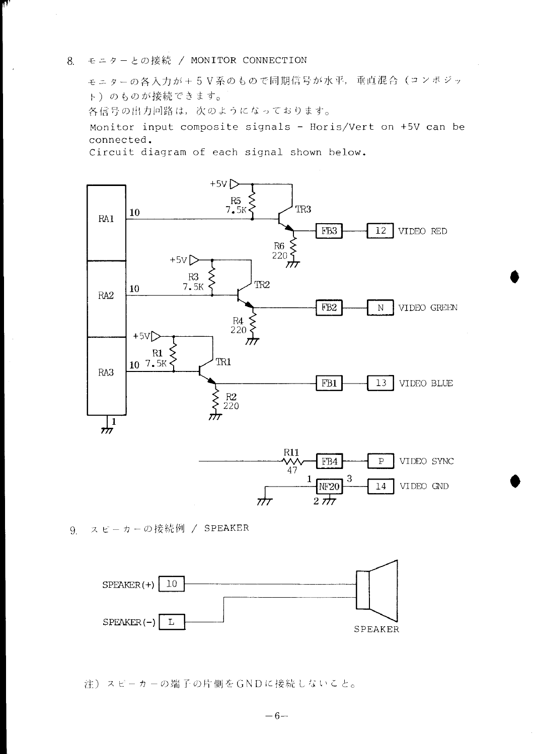#### モニターとの接続 / MONITOR CONNECTION 8.

モニターの各入力が+5V系のもので同期信号が水平、垂直混合(コンポジッ ト)のものが接続できます。 各信号の出力回路は、次のようになっております。

Monitor input composite signals - Horis/Vert on +5V can be connected.

Circuit diagram of each signal shown below.





9. スピーカーの接続例 / SPEAKER



注) スピーカーの端子の片側をGNDに接続しないこと。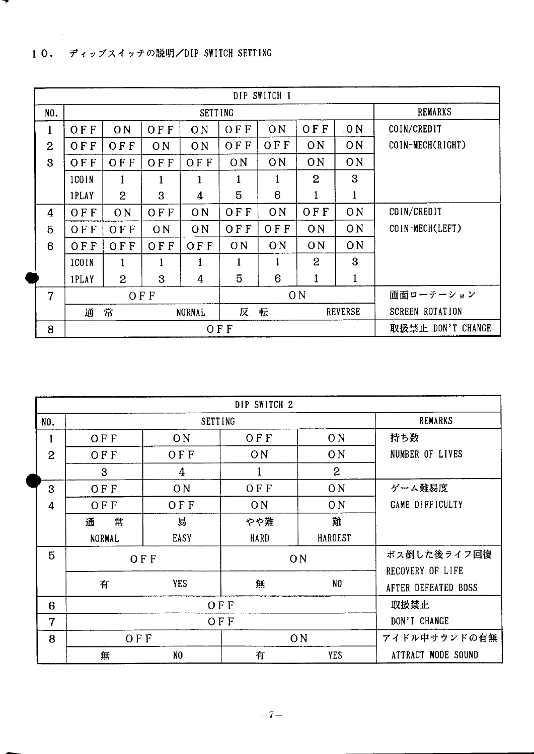| DIP SWITCH 1   |            |              |                |                |                          |                   |                        |                |                  |
|----------------|------------|--------------|----------------|----------------|--------------------------|-------------------|------------------------|----------------|------------------|
| NO.            |            |              |                | <b>SETTING</b> |                          |                   |                        |                | <b>REMARKS</b>   |
| 1              | OFF        | ON           | OFF            | 0 <sub>N</sub> | <b>OFF</b>               | O <sub>N</sub>    | <b>OFF</b>             | 0 <sub>N</sub> | COIN/CREDIT      |
| $\overline{2}$ | OFF        | OFF          | ON             | 0 <sub>N</sub> | <b>OFF</b>               | OFF               | ON                     | ON             | COIN-MECH(RIGHT) |
| 3              | OFF        | OFF          | OFF            | OFF            | 0 <sub>N</sub>           | ON                | 0 <sub>N</sub>         | ON             |                  |
|                | 1COIN      | $\mathbf{1}$ | 1              | $\mathbf{1}$   | 1                        | 1                 | $\overline{2}$         | 3              |                  |
|                | 1PLAY      | 2            | 3              | 4              | 5                        | 6                 | $\mathbf{1}$           | 1              |                  |
| 4              | <b>OFF</b> | ON           | OFF            | 0 <sub>N</sub> | OFF                      | ON                | OFF                    | ON             | COIN/CREDIT      |
| 5              | OFF        | OFF          | O <sub>N</sub> | 0 <sub>N</sub> | OFF                      | OFF               | ON                     | ON             | COIN-MECH(LEFT)  |
| 6              | OFF        | OFF          | OFF            | OF F           | ON                       | 0 <sub>N</sub>    | ON                     | ON             |                  |
|                | 1COIN      | $\mathbf{1}$ | 1              | 1              |                          | 1                 | $\overline{2}$         | 3              |                  |
|                | 1PLAY      | $\mathbf{2}$ | 3              | 4              | 5                        | 6                 | 1                      | $\mathbf{1}$   |                  |
| 7              |            |              | OFF            | ON             |                          |                   |                        | 画面ローテーション      |                  |
|                | 通          | 常            |                | NORMAL         | 転<br>反<br><b>REVERSE</b> |                   | <b>SCREEN ROTATION</b> |                |                  |
| 8              | <b>OFF</b> |              |                |                |                          | 取扱禁止 DON'T CHANGE |                        |                |                  |

|                |                |                | DIP SWITCH 2 |                |                                 |
|----------------|----------------|----------------|--------------|----------------|---------------------------------|
| NO.            | <b>SETTING</b> |                |              |                | <b>REMARKS</b>                  |
| $\mathbf{1}$   | <b>OFF</b>     | ON             | OFF          | 0 <sub>N</sub> | 持ち数                             |
| $\overline{2}$ | OFF            | <b>OFF</b>     | ON           | ON             | NUMBER OF LIVES                 |
|                | 3              | 4              | $\mathbf{1}$ | $\mathbf{2}$   |                                 |
| 3              | OFF            | 0 <sub>N</sub> | <b>OFF</b>   | 0 <sub>N</sub> | ゲーム難易度                          |
| 4              | OFF            | OFF            | ON           | 0 <sub>N</sub> | GAME DIFFICULTY                 |
|                | 通<br>常         | 易              | やや難          | 難              |                                 |
|                | NORMAL         | EASY           | <b>HARD</b>  | <b>HARDEST</b> |                                 |
| 5              |                | <b>OFF</b>     |              | ON             | ボス倒した後ライフ回復<br>RECOVERY OF LIFE |
|                | 有              | <b>YES</b>     | 無            | NO             | AFTER DEFEATED BOSS             |
| 6              |                |                | OFF          |                | 取扱禁止                            |
| 7              |                | DON'T CHANGE   |              |                |                                 |
| 8              | OFF            |                |              | <b>ON</b>      | アイドル中サウンドの有無                    |
|                | 無              | N <sub>0</sub> | 有            | <b>YES</b>     | ATTRACT MODE SOUND              |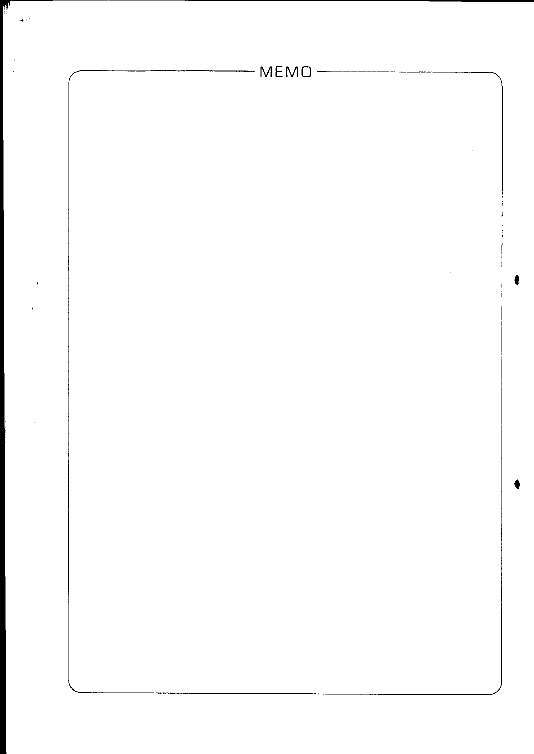

li,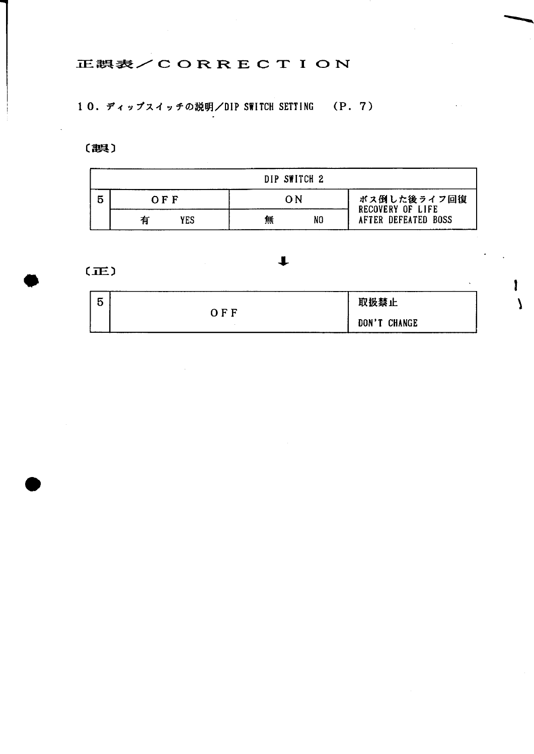### 正誤表/CORRECTION

10. ディップスイッチの説明/DIP SWITCH SETTING (P. 7)

(誤)

|          | DIP SWITCH 2 |    |                                        |
|----------|--------------|----|----------------------------------------|
| OFF      | ∩N           |    | ボス倒した後ライフ回復<br><b>RECOVERY OF LIFE</b> |
| YES<br>有 | 無            | NO | AFTER DEFEATED BOSS                    |

 $(E)$ 

| 5 |     | 取扱禁止                   |
|---|-----|------------------------|
|   | OFF | <b>CHANGE</b><br>DON'T |